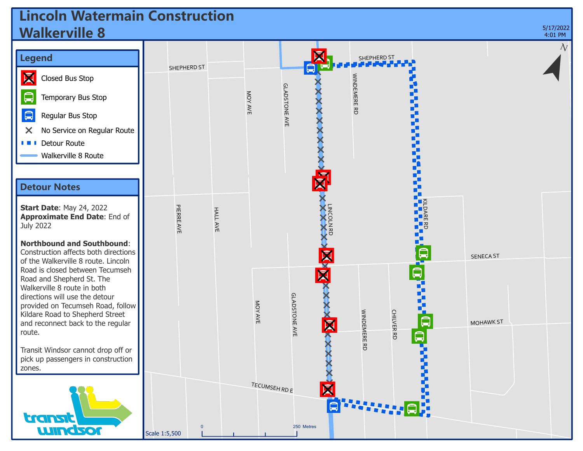## **Lincoln Watermain Construction Walkerville 8**



;

5/17/2022